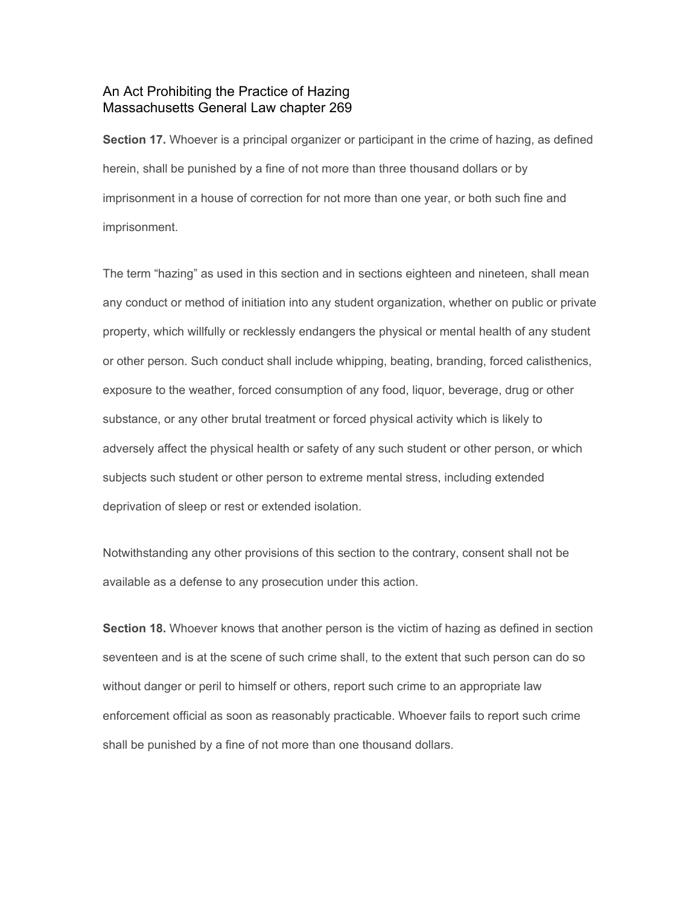## An Act Prohibiting the Practice of Hazing Massachusetts General Law chapter 269

**Section 17.**Whoever is a principal organizer or participant in the crime of hazing, as defined herein, shall be punished by a fine of not more than three thousand dollars or by imprisonment in a house of correction for not more than one year, or both such fine and imprisonment.

The term "hazing" as used in this section and in sections eighteen and nineteen, shall mean any conduct or method of initiation into any student organization, whether on public or private property, which willfully or recklessly endangers the physical or mental health of any student or other person. Such conduct shall include whipping, beating, branding, forced calisthenics, exposure to the weather, forced consumption of any food, liquor, beverage, drug or other substance, or any other brutal treatment or forced physical activity which is likely to adversely affect the physical health or safety of any such student or other person, or which subjects such student or other person to extreme mental stress, including extended deprivation of sleep or rest or extended isolation.

Notwithstanding any other provisions of this section to the contrary, consent shall not be available as a defense to any prosecution under this action.

**Section 18.**Whoever knows that another person is the victim of hazing as defined in section seventeen and is at the scene of such crime shall, to the extent that such person can do so without danger or peril to himself or others, report such crime to an appropriate law enforcement official as soon as reasonably practicable. Whoever fails to report such crime shall be punished by a fine of not more than one thousand dollars.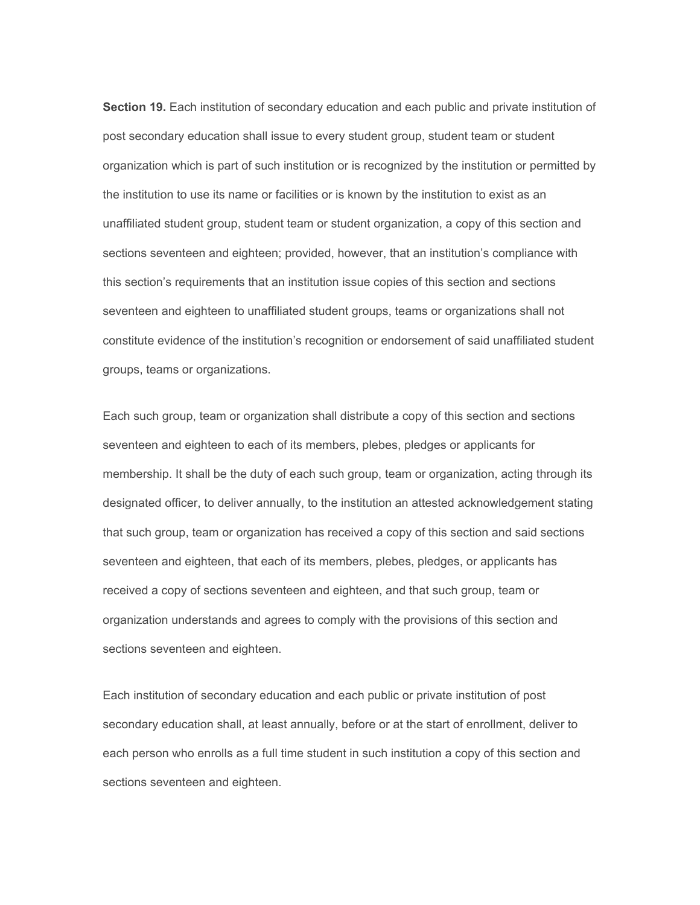**Section 19.**Each institution of secondary education and each public and private institution of post secondary education shall issue to every student group, student team or student organization which is part of such institution or is recognized by the institution or permitted by the institution to use its name or facilities or is known by the institution to exist as an unaffiliated student group, student team or student organization, a copy of this section and sections seventeen and eighteen; provided, however, that an institution's compliance with this section's requirements that an institution issue copies of this section and sections seventeen and eighteen to unaffiliated student groups, teams or organizations shall not constitute evidence of the institution's recognition or endorsement of said unaffiliated student groups, teams or organizations.

Each such group, team or organization shall distribute a copy of this section and sections seventeen and eighteen to each of its members, plebes, pledges or applicants for membership. It shall be the duty of each such group, team or organization, acting through its designated officer, to deliver annually, to the institution an attested acknowledgement stating that such group, team or organization has received a copy of this section and said sections seventeen and eighteen, that each of its members, plebes, pledges, or applicants has received a copy of sections seventeen and eighteen, and that such group, team or organization understands and agrees to comply with the provisions of this section and sections seventeen and eighteen.

Each institution of secondary education and each public or private institution of post secondary education shall, at least annually, before or at the start of enrollment, deliver to each person who enrolls as a full time student in such institution a copy of this section and sections seventeen and eighteen.